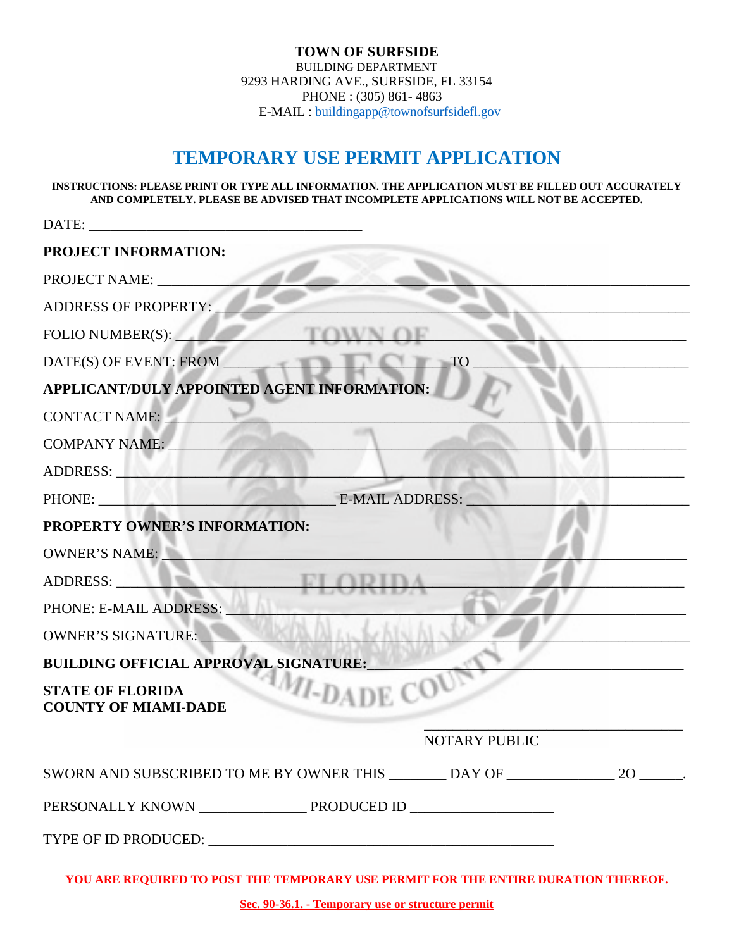**TOWN OF SURFSIDE** BUILDING DEPARTMENT 9293 HARDING AVE., SURFSIDE, FL 33154 PHONE : (305) 861- 4863 E-MAIL : [buildingapp@townofsurfsidefl.gov](mailto:buildingapp@townofsurfsidefl.gov)

## **TEMPORARY USE PERMIT APPLICATION**

**INSTRUCTIONS: PLEASE PRINT OR TYPE ALL INFORMATION. THE APPLICATION MUST BE FILLED OUT ACCURATELY AND COMPLETELY. PLEASE BE ADVISED THAT INCOMPLETE APPLICATIONS WILL NOT BE ACCEPTED.**

| DATE:                                                                              |
|------------------------------------------------------------------------------------|
| PROJECT INFORMATION:                                                               |
| PROJECT NAME:                                                                      |
| <b>ADDRESS OF PROPERTY:</b>                                                        |
| FOLIO NUMBER(S):                                                                   |
| DATE(S) OF EVENT: FROM<br>$\top$ TO                                                |
| APPLICANT/DULY APPOINTED AGENT INFORMATION:                                        |
| <b>CONTACT NAME:</b>                                                               |
| <b>COMPANY NAME:</b>                                                               |
| ADDRESS:                                                                           |
| PHONE:<br><b>E-MAIL ADDRESS:</b>                                                   |
| PROPERTY OWNER'S INFORMATION:                                                      |
| <b>OWNER'S NAME:</b>                                                               |
| ADDRESS:                                                                           |
| PHONE: E-MAIL ADDRESS:                                                             |
| <b>OWNER'S SIGNATURE:</b>                                                          |
| <b>BUILDING OFFICIAL APPROVAL SIGNATURE:</b>                                       |
| $4ML_D$<br><b>STATE OF FLORIDA</b><br><b>COUNTY OF MIAMI-DADE</b>                  |
| <b>NOTARY PUBLIC</b>                                                               |
| SWORN AND SUBSCRIBED TO ME BY OWNER THIS _______ DAY OF ______________ 20 ______.  |
|                                                                                    |
|                                                                                    |
| YOU ARE REQUIRED TO POST THE TEMPORARY USE PERMIT FOR THE ENTIRE DURATION THEREOF. |

**Sec. 90-36.1. - Temporary use or structure permit**